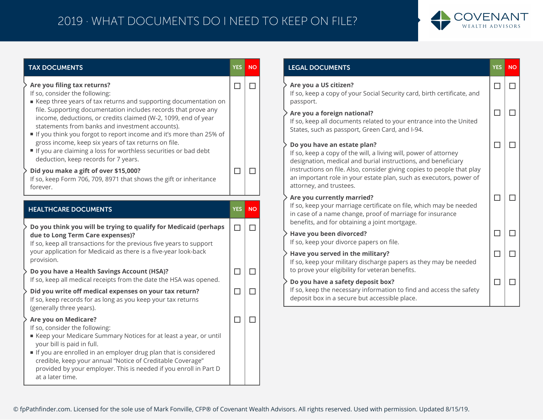## 2019 · WHAT DOCUMENTS DO I NEED TO KEEP ON FILE?



| <b>TAX DOCUMENTS</b>                                                                                                                                                                                                                                                                                                                                             | <b>YES</b> | <b>NO</b> | <b>LEGAL DOCUMENTS</b>                                                                                                                                                  |
|------------------------------------------------------------------------------------------------------------------------------------------------------------------------------------------------------------------------------------------------------------------------------------------------------------------------------------------------------------------|------------|-----------|-------------------------------------------------------------------------------------------------------------------------------------------------------------------------|
| Are you filing tax returns?<br>If so, consider the following:<br>Example three years of tax returns and supporting documentation on                                                                                                                                                                                                                              | $\Box$     | $\Box$    | Are you a US citizen?<br>If so, keep a copy of your Social Security card, birth certificate, and<br>passport.                                                           |
| file. Supporting documentation includes records that prove any<br>income, deductions, or credits claimed (W-2, 1099, end of year<br>statements from banks and investment accounts).<br>If you think you forgot to report income and it's more than 25% of                                                                                                        |            |           | Are you a foreign national?<br>If so, keep all documents related to your entrance into the United<br>States, such as passport, Green Card, and I-94.                    |
| gross income, keep six years of tax returns on file.<br>If you are claiming a loss for worthless securities or bad debt<br>deduction, keep records for 7 years.                                                                                                                                                                                                  |            |           | Do you have an estate plan?<br>If so, keep a copy of the will, a living will, power of attorney<br>designation, medical and burial instructions, and beneficiary        |
| Did you make a gift of over \$15,000?<br>If so, keep Form 706, 709, 8971 that shows the gift or inheritance<br>forever.                                                                                                                                                                                                                                          | $\Box$     | П         | instructions on file. Also, consider giving copies to people that play<br>an important role in your estate plan, such as executors, power of<br>attorney, and trustees. |
| <b>HEALTHCARE DOCUMENTS</b>                                                                                                                                                                                                                                                                                                                                      | <b>YES</b> | <b>NO</b> | Are you currently married?<br>If so, keep your marriage certificate on file, which may be needed<br>in case of a name change, proof of marriage for insurance           |
| Do you think you will be trying to qualify for Medicaid (perhaps<br>due to Long Term Care expenses)?<br>If so, keep all transactions for the previous five years to support                                                                                                                                                                                      | $\Box$     | $\Box$    | benefits, and for obtaining a joint mortgage.<br>Have you been divorced?<br>If so, keep your divorce papers on file.                                                    |
| your application for Medicaid as there is a five-year look-back<br>provision.                                                                                                                                                                                                                                                                                    |            |           | Have you served in the military?<br>If so, keep your military discharge papers as they may be needed                                                                    |
| Do you have a Health Savings Account (HSA)?<br>If so, keep all medical receipts from the date the HSA was opened.                                                                                                                                                                                                                                                | $\Box$     | $\Box$    | to prove your eligibility for veteran benefits.<br>Do you have a safety deposit box?                                                                                    |
| Did you write off medical expenses on your tax return?<br>If so, keep records for as long as you keep your tax returns<br>(generally three years).                                                                                                                                                                                                               | $\Box$     | П         | If so, keep the necessary information to find and access the safety<br>deposit box in a secure but accessible place.                                                    |
| Are you on Medicare?<br>If so, consider the following:<br>■ Keep your Medicare Summary Notices for at least a year, or until<br>your bill is paid in full.<br>If you are enrolled in an employer drug plan that is considered<br>credible, keep your annual "Notice of Creditable Coverage"<br>provided by your employer. This is needed if you enroll in Part D | $\Box$     | $\Box$    |                                                                                                                                                                         |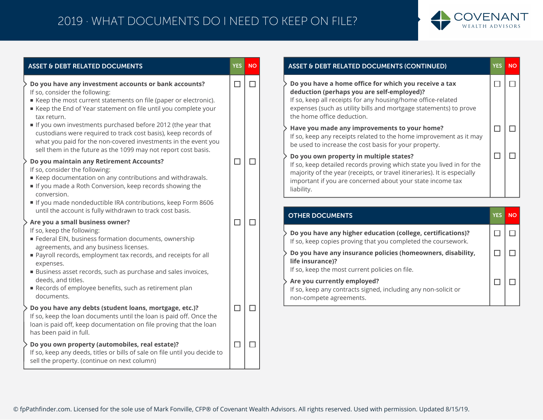## 2019 · WHAT DOCUMENTS DO I NEED TO KEEP ON FILE?



| <b>ASSET &amp; DEBT RELATED DOCUMENTS</b>                                                                                                                                                                                                                         | YES <sup> </sup> | <b>NO</b> |
|-------------------------------------------------------------------------------------------------------------------------------------------------------------------------------------------------------------------------------------------------------------------|------------------|-----------|
| Do you have any investment accounts or bank accounts?<br>If so, consider the following:<br>E Keep the most current statements on file (paper or electronic).<br>■ Keep the End of Year statement on file until you complete your<br>tax return.                   | $\Box$           | □         |
| If you own investments purchased before 2012 (the year that<br>custodians were required to track cost basis), keep records of<br>what you paid for the non-covered investments in the event you<br>sell them in the future as the 1099 may not report cost basis. |                  |           |
| Do you maintain any Retirement Accounts?<br>If so, consider the following:<br>Keep documentation on any contributions and withdrawals.<br>If you made a Roth Conversion, keep records showing the<br>conversion.                                                  | $\Box$           | Г         |
| If you made nondeductible IRA contributions, keep Form 8606<br>until the account is fully withdrawn to track cost basis.                                                                                                                                          |                  |           |
| Are you a small business owner?<br>If so, keep the following:<br>Federal EIN, business formation documents, ownership<br>agreements, and any business licenses.                                                                                                   | $\Box$           | □         |
| Payroll records, employment tax records, and receipts for all<br>expenses.<br>Business asset records, such as purchase and sales invoices,                                                                                                                        |                  |           |
| deeds, and titles.<br>Records of employee benefits, such as retirement plan<br>documents.                                                                                                                                                                         |                  |           |
| Do you have any debts (student loans, mortgage, etc.)?<br>If so, keep the loan documents until the loan is paid off. Once the<br>loan is paid off, keep documentation on file proving that the loan<br>has been paid in full.                                     | $\Box$           | $\Box$    |
| Do you own property (automobiles, real estate)?<br>If so, keep any deeds, titles or bills of sale on file until you decide to<br>sell the property. (continue on next column)                                                                                     | $\Box$           | $\Box$    |